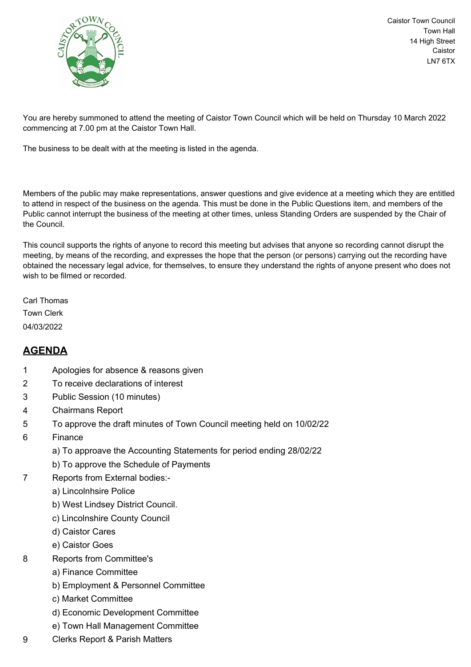

Caistor Town Council Town Hall 14 High Street Caistor LN7 6TX

You are hereby summoned to attend the meeting of Caistor Town Council which will be held on Thursday 10 March 2022 commencing at 7.00 pm at the Caistor Town Hall.

The business to be dealt with at the meeting is listed in the agenda.

Members of the public may make representations, answer questions and give evidence at a meeting which they are entitled to attend in respect of the business on the agenda. This must be done in the Public Questions item, and members of the Public cannot interrupt the business of the meeting at other times, unless Standing Orders are suspended by the Chair of the Council.

This council supports the rights of anyone to record this meeting but advises that anyone so recording cannot disrupt the meeting, by means of the recording, and expresses the hope that the person (or persons) carrying out the recording have obtained the necessary legal advice, for themselves, to ensure they understand the rights of anyone present who does not wish to be filmed or recorded.

Carl Thomas Town Clerk 04/03/2022

## **AGENDA**

- 1 Apologies for absence & reasons given
- 2 To receive declarations of interest
- 3 Public Session (10 minutes)
- 4 Chairmans Report
- 5 To approve the draft minutes of Town Council meeting held on 10/02/22
- 6 Finance
	- a) To approave the Accounting Statements for period ending 28/02/22
	- b) To approve the Schedule of Payments
- 7 Reports from External bodies:
	- a) Lincolnhsire Police
	- b) West Lindsey District Council.
	- c) Lincolnshire County Council
	- d) Caistor Cares
	- e) Caistor Goes
- 8 Reports from Committee's
	- a) Finance Committee
	- b) Employment & Personnel Committee
	- c) Market Committee
	- d) Economic Development Committee
	- e) Town Hall Management Committee
- 9 Clerks Report & Parish Matters